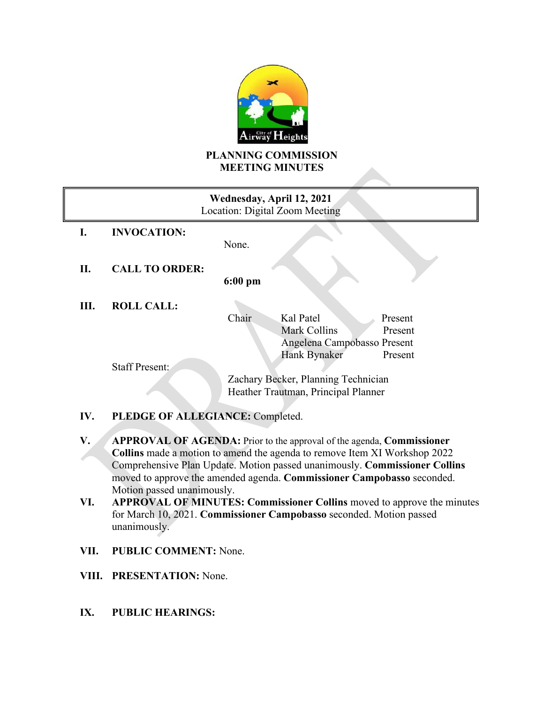

## **PLANNING COMMISSION MEETING MINUTES**

| Wednesday, April 12, 2021<br>Location: Digital Zoom Meeting |                       |                                     |
|-------------------------------------------------------------|-----------------------|-------------------------------------|
| L.                                                          | <b>INVOCATION:</b>    |                                     |
|                                                             |                       | None.                               |
| П.                                                          | <b>CALL TO ORDER:</b> |                                     |
|                                                             |                       | $6:00$ pm                           |
| Ш.                                                          | <b>ROLL CALL:</b>     |                                     |
|                                                             |                       | Kal Patel<br>Chair<br>Present       |
|                                                             |                       | <b>Mark Collins</b><br>Present      |
|                                                             |                       | Angelena Campobasso Present         |
|                                                             |                       | Hank Bynaker<br>Present             |
|                                                             | <b>Staff Present:</b> |                                     |
|                                                             |                       | Zachary Becker, Planning Technician |
|                                                             |                       | Heather Trautman, Principal Planner |

# **IV. PLEDGE OF ALLEGIANCE:** Completed.

- **V. APPROVAL OF AGENDA:** Prior to the approval of the agenda, **Commissioner Collins** made a motion to amend the agenda to remove Item XI Workshop 2022 Comprehensive Plan Update. Motion passed unanimously. **Commissioner Collins** moved to approve the amended agenda. **Commissioner Campobasso** seconded. Motion passed unanimously.
- **VI. APPROVAL OF MINUTES: Commissioner Collins** moved to approve the minutes for March 10, 2021. **Commissioner Campobasso** seconded. Motion passed unanimously.
- **VII. PUBLIC COMMENT:** None.
- **VIII. PRESENTATION:** None.
- **IX. PUBLIC HEARINGS:**